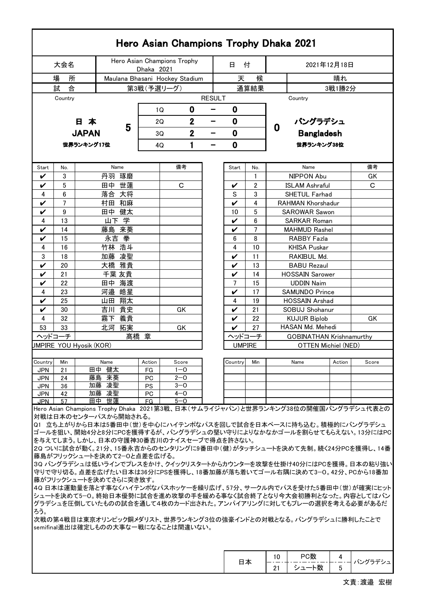|                                                                                                                                                                                                                                                                                                                                                                                                                                                                                                                                                                                                                                                                                                                                                                                                                                                                                          |          |                                |                             |                |            | Hero Asian Champions Trophy Dhaka 2021 |   |                          |                         |                     |                   |                                             |        |          |  |  |  |
|------------------------------------------------------------------------------------------------------------------------------------------------------------------------------------------------------------------------------------------------------------------------------------------------------------------------------------------------------------------------------------------------------------------------------------------------------------------------------------------------------------------------------------------------------------------------------------------------------------------------------------------------------------------------------------------------------------------------------------------------------------------------------------------------------------------------------------------------------------------------------------------|----------|--------------------------------|-----------------------------|----------------|------------|----------------------------------------|---|--------------------------|-------------------------|---------------------|-------------------|---------------------------------------------|--------|----------|--|--|--|
|                                                                                                                                                                                                                                                                                                                                                                                                                                                                                                                                                                                                                                                                                                                                                                                                                                                                                          | 大会名      |                                | Hero Asian Champions Trophy |                |            | 日                                      | 付 | 2021年12月18日              |                         |                     |                   |                                             |        |          |  |  |  |
|                                                                                                                                                                                                                                                                                                                                                                                                                                                                                                                                                                                                                                                                                                                                                                                                                                                                                          | 所<br>場   |                                |                             |                | Dhaka 2021 | Maulana Bhasani Hockey Stadium         |   | 候<br>天                   |                         |                     |                   |                                             |        |          |  |  |  |
|                                                                                                                                                                                                                                                                                                                                                                                                                                                                                                                                                                                                                                                                                                                                                                                                                                                                                          | 試<br>合   |                                |                             | 第3戦(予選リーグ)     |            |                                        |   |                          |                         | 通算結果                | 晴れ<br>3戦1勝2分      |                                             |        |          |  |  |  |
|                                                                                                                                                                                                                                                                                                                                                                                                                                                                                                                                                                                                                                                                                                                                                                                                                                                                                          | Country  |                                |                             |                |            |                                        |   | <b>RESULT</b><br>Country |                         |                     |                   |                                             |        |          |  |  |  |
|                                                                                                                                                                                                                                                                                                                                                                                                                                                                                                                                                                                                                                                                                                                                                                                                                                                                                          |          |                                |                             |                |            | 0<br>1Q                                |   | 0<br>-                   |                         |                     |                   |                                             |        |          |  |  |  |
|                                                                                                                                                                                                                                                                                                                                                                                                                                                                                                                                                                                                                                                                                                                                                                                                                                                                                          |          | 日本                             |                             |                |            | $\overline{2}$<br>2Q                   |   | —                        | $\mathbf 0$             |                     | バングラデシュ           |                                             |        |          |  |  |  |
|                                                                                                                                                                                                                                                                                                                                                                                                                                                                                                                                                                                                                                                                                                                                                                                                                                                                                          |          | <b>JAPAN</b>                   |                             | 5              |            | $\mathbf 2$<br>3Q                      |   | $\bf{0}$<br>-            |                         | $\mathbf 0$         |                   |                                             |        |          |  |  |  |
|                                                                                                                                                                                                                                                                                                                                                                                                                                                                                                                                                                                                                                                                                                                                                                                                                                                                                          |          |                                |                             |                |            |                                        |   |                          |                         |                     | <b>Bangladesh</b> |                                             |        |          |  |  |  |
| 1<br>$\mathbf 0$<br>世界ランキング17位<br>世界ランキング38位<br>4Q<br>-                                                                                                                                                                                                                                                                                                                                                                                                                                                                                                                                                                                                                                                                                                                                                                                                                                  |          |                                |                             |                |            |                                        |   |                          |                         |                     |                   |                                             |        |          |  |  |  |
| Start                                                                                                                                                                                                                                                                                                                                                                                                                                                                                                                                                                                                                                                                                                                                                                                                                                                                                    | No.      |                                |                             | Name           |            | 備考                                     |   |                          | Start                   | No.                 |                   | Name                                        |        | 備考       |  |  |  |
| V                                                                                                                                                                                                                                                                                                                                                                                                                                                                                                                                                                                                                                                                                                                                                                                                                                                                                        | 3        |                                |                             | 丹羽 琢磨          |            |                                        |   |                          |                         | 1                   |                   | NIPPON Abu                                  |        | GK       |  |  |  |
| V                                                                                                                                                                                                                                                                                                                                                                                                                                                                                                                                                                                                                                                                                                                                                                                                                                                                                        | 5        |                                | 田中                          | 世蓮             |            | С                                      |   |                          | V                       | 2                   |                   | <b>ISLAM Ashraful</b>                       |        | C        |  |  |  |
| 4                                                                                                                                                                                                                                                                                                                                                                                                                                                                                                                                                                                                                                                                                                                                                                                                                                                                                        | 6        |                                | 落合 大将                       |                |            |                                        |   |                          | S                       | 3                   |                   | SHETUL Farhad                               |        |          |  |  |  |
| V                                                                                                                                                                                                                                                                                                                                                                                                                                                                                                                                                                                                                                                                                                                                                                                                                                                                                        | 7        |                                |                             | 村田 和麻          |            |                                        |   |                          | V                       | 4                   |                   | <b>RAHMAN Khorshadur</b>                    |        |          |  |  |  |
| V                                                                                                                                                                                                                                                                                                                                                                                                                                                                                                                                                                                                                                                                                                                                                                                                                                                                                        | 9        |                                |                             | 田中 健太<br>山下学   |            |                                        |   |                          | 10                      | 5                   |                   | <b>SAROWAR Sawon</b>                        |        |          |  |  |  |
| 4<br>V                                                                                                                                                                                                                                                                                                                                                                                                                                                                                                                                                                                                                                                                                                                                                                                                                                                                                   | 13<br>14 |                                | 藤島                          | 来葵             |            |                                        |   |                          | V<br>$\boldsymbol{\nu}$ | 6<br>$\overline{7}$ |                   | <b>SARKAR Roman</b><br><b>MAHMUD Rashel</b> |        |          |  |  |  |
| V                                                                                                                                                                                                                                                                                                                                                                                                                                                                                                                                                                                                                                                                                                                                                                                                                                                                                        | 15       |                                | 永吉 拳                        |                |            |                                        |   |                          | 6                       | 8                   |                   | <b>RABBY Fazla</b>                          |        |          |  |  |  |
| 4                                                                                                                                                                                                                                                                                                                                                                                                                                                                                                                                                                                                                                                                                                                                                                                                                                                                                        | 16       |                                |                             | 竹林 浩斗          |            |                                        |   |                          | 4                       | 10                  |                   | <b>KHISA Puskar</b>                         |        |          |  |  |  |
| 3                                                                                                                                                                                                                                                                                                                                                                                                                                                                                                                                                                                                                                                                                                                                                                                                                                                                                        | 18       |                                | 加藤 凌聖                       |                |            |                                        |   |                          | V                       | 11                  |                   | RAKIBUL Md.                                 |        |          |  |  |  |
| V                                                                                                                                                                                                                                                                                                                                                                                                                                                                                                                                                                                                                                                                                                                                                                                                                                                                                        | 20       |                                |                             | 大橋 雅貴          |            |                                        |   |                          | V                       | 13                  |                   | <b>BABU Rezaul</b>                          |        |          |  |  |  |
| V                                                                                                                                                                                                                                                                                                                                                                                                                                                                                                                                                                                                                                                                                                                                                                                                                                                                                        | 21       |                                |                             | 千葉 友貴          |            |                                        |   |                          | V                       | 14                  |                   | <b>HOSSAIN Sarower</b>                      |        |          |  |  |  |
| V                                                                                                                                                                                                                                                                                                                                                                                                                                                                                                                                                                                                                                                                                                                                                                                                                                                                                        | 22       |                                |                             | 田中 海渡          |            |                                        |   |                          | 7                       | 15                  |                   | <b>UDDIN Naim</b>                           |        |          |  |  |  |
| 4                                                                                                                                                                                                                                                                                                                                                                                                                                                                                                                                                                                                                                                                                                                                                                                                                                                                                        | 23       |                                | 河邉 皓星                       |                |            |                                        |   |                          | V                       | 17                  |                   | <b>SAMUNDO Prince</b>                       |        |          |  |  |  |
| V<br>V                                                                                                                                                                                                                                                                                                                                                                                                                                                                                                                                                                                                                                                                                                                                                                                                                                                                                   | 25<br>30 |                                |                             | 山田 翔太<br>吉川 貴史 |            |                                        |   |                          | 4                       | 19<br>21            |                   | <b>HOSSAIN Arshad</b>                       |        |          |  |  |  |
| 4                                                                                                                                                                                                                                                                                                                                                                                                                                                                                                                                                                                                                                                                                                                                                                                                                                                                                        | 32       |                                |                             | 霧下 義貴          |            | GK                                     |   |                          | V<br>V                  | 22                  |                   | SOBUJ Shohanur<br><b>KUJUR Biplob</b>       |        | GK       |  |  |  |
| 53                                                                                                                                                                                                                                                                                                                                                                                                                                                                                                                                                                                                                                                                                                                                                                                                                                                                                       | 33       |                                |                             | 北河 拓実          |            | GK                                     |   |                          | V                       | 27                  |                   | HASAN Md. Mehedi                            |        |          |  |  |  |
| ヘッドコーチ                                                                                                                                                                                                                                                                                                                                                                                                                                                                                                                                                                                                                                                                                                                                                                                                                                                                                   |          |                                |                             |                | 髙橋 章       |                                        |   |                          | ヘッドコーチ                  |                     |                   | <b>GOBINATHAN Krishnamurthy</b>             |        |          |  |  |  |
|                                                                                                                                                                                                                                                                                                                                                                                                                                                                                                                                                                                                                                                                                                                                                                                                                                                                                          |          | <b>JMPIRE YOU Hyosik (KOR)</b> |                             |                |            |                                        |   |                          | <b>UMPIRE</b>           |                     |                   | OTTEN Michiel (NED)                         |        |          |  |  |  |
|                                                                                                                                                                                                                                                                                                                                                                                                                                                                                                                                                                                                                                                                                                                                                                                                                                                                                          |          |                                |                             |                |            |                                        |   |                          |                         |                     |                   |                                             |        |          |  |  |  |
| Country                                                                                                                                                                                                                                                                                                                                                                                                                                                                                                                                                                                                                                                                                                                                                                                                                                                                                  | Min      |                                | Name                        |                | Action     | Score                                  |   |                          | Country                 | Min                 |                   | Name                                        | Action | Score    |  |  |  |
| <b>JPN</b><br>JPN.                                                                                                                                                                                                                                                                                                                                                                                                                                                                                                                                                                                                                                                                                                                                                                                                                                                                       | 21<br>24 |                                | 田中 健太<br>藤島 来葵              |                | FG<br>PC   | $1 - 0$<br>$2 - 0$                     |   |                          |                         |                     |                   |                                             |        |          |  |  |  |
| <b>JPN</b>                                                                                                                                                                                                                                                                                                                                                                                                                                                                                                                                                                                                                                                                                                                                                                                                                                                                               | 36       |                                | 加藤 凌聖                       |                | <b>PS</b>  | $3 - 0$                                |   |                          |                         |                     |                   |                                             |        |          |  |  |  |
| <b>JPN</b>                                                                                                                                                                                                                                                                                                                                                                                                                                                                                                                                                                                                                                                                                                                                                                                                                                                                               | 42       |                                | 加藤 凌聖                       |                | PC         | $4 - 0$                                |   |                          |                         |                     |                   |                                             |        |          |  |  |  |
| JPN.                                                                                                                                                                                                                                                                                                                                                                                                                                                                                                                                                                                                                                                                                                                                                                                                                                                                                     | 57       |                                | 田中 世蓮                       |                | FG.        | $5 - 0$                                |   |                          |                         |                     |                   |                                             |        |          |  |  |  |
| Hero Asian Champions Trophy Dhaka 2021第3戦、日本(サムライジャパン)と世界ランキング38位の開催国バングラデシュ代表との<br>対戦は日本のセンターパスから開始される。<br>Q1 立ち上がりから日本は5番田中(世)を中心にハイテンポなパスを回しで試合を日本ペースに持ち込む。積極的にバングラデシュ<br>ゴールを狙い、開始4分と8分にPCを獲得するが、バングラデシュの堅い守りによりなかなかゴールを割らせてもらえない。13分にはPC<br>を与えてしまう。しかし、日本の守護神30番吉川のナイスセーブで得点を許さない。<br>2Q ついに試合が動く。21分、15番永吉からのセンタリングに9番田中(健)がタッチシュートを決めて先制。続く24分PCを獲得し、14番<br>藤島がフリックシュートを決めて2―0と点差を広げる。<br>3Q バングラデシュは低いラインでプレスをかけ、クイックリスタートからカウンターを攻撃を仕掛け40分にはPCを獲得。日本の粘り強い<br> 守りで守り切る。点差を広げたい日本は36分にPSを獲得し、18番加藤が落ち着いてゴール右隅に決めて3-0。42分、PCから18番加<br>藤がフリックシュートを決めてさらに突き放す。<br>4Q 日本は運動量を落とす事なくハイテンポなパスホッケーを繰り広げ、57分、サークル内でパスを受けた5番田中(世)が確実にヒット<br>シュートを決めて5―0。終始日本優勢に試合を進め攻撃の手を緩める事なく試合終了となり今大会初勝利となった。内容としてはバン<br>グラデシュを圧倒していたものの試合を通して4枚のカード出された。アンパイアリングに対してもプレーの選択を考える必要があるだ<br>ろう。<br>次戦の第4戦目は東京オリンピック銅メダリスト、世界ランキング3位の強豪インドとの対戦となる。バングラデシュに勝利したことで<br>semifinal進出は確定しものの大事な一戦になることは間違いない。 |          |                                |                             |                |            |                                        |   |                          |                         |                     |                   |                                             |        |          |  |  |  |
|                                                                                                                                                                                                                                                                                                                                                                                                                                                                                                                                                                                                                                                                                                                                                                                                                                                                                          |          |                                |                             |                |            |                                        |   |                          | 日本                      |                     | 10<br>21          | PC数<br>シュート数                                | 4<br>5 | バングラデシュ  |  |  |  |
|                                                                                                                                                                                                                                                                                                                                                                                                                                                                                                                                                                                                                                                                                                                                                                                                                                                                                          |          |                                |                             |                |            |                                        |   |                          |                         |                     |                   |                                             |        | 文責:渡邉 宏樹 |  |  |  |